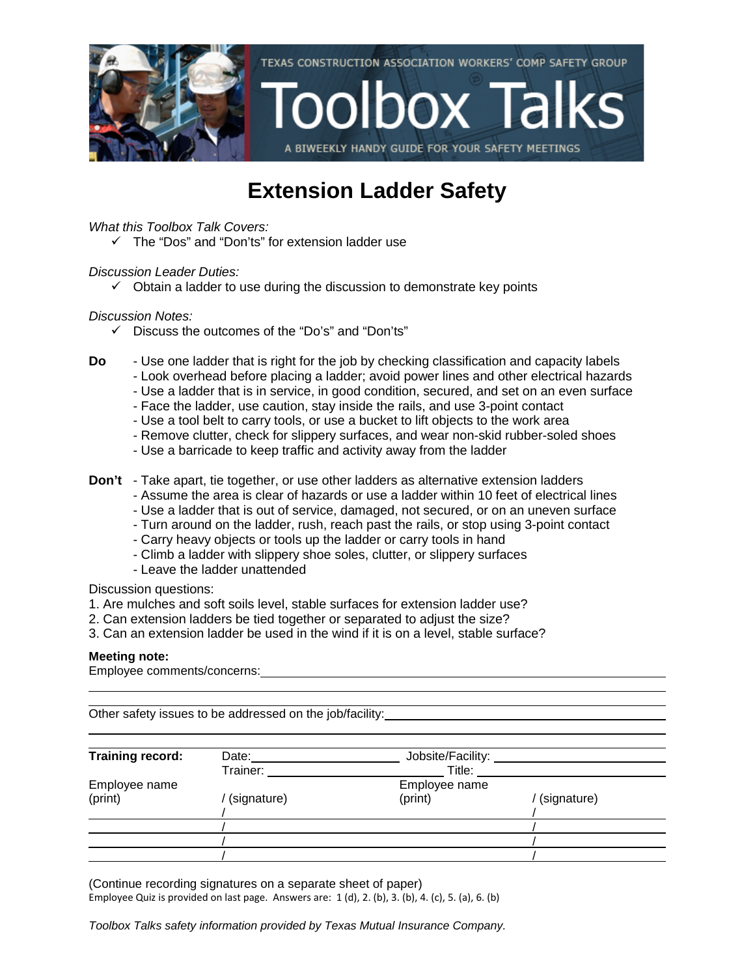

### **Extension Ladder Safety**

*What this Toolbox Talk Covers:*

 $\checkmark$  The "Dos" and "Don'ts" for extension ladder use

#### *Discussion Leader Duties:*

 $\checkmark$  Obtain a ladder to use during the discussion to demonstrate key points

#### *Discussion Notes:*

- $\checkmark$  Discuss the outcomes of the "Do's" and "Don'ts"
- **Do** Use one ladder that is right for the job by checking classification and capacity labels
	- Look overhead before placing a ladder; avoid power lines and other electrical hazards
	- Use a ladder that is in service, in good condition, secured, and set on an even surface
	- Face the ladder, use caution, stay inside the rails, and use 3-point contact
	- Use a tool belt to carry tools, or use a bucket to lift objects to the work area
	- Remove clutter, check for slippery surfaces, and wear non-skid rubber-soled shoes
	- Use a barricade to keep traffic and activity away from the ladder
- **Don't** Take apart, tie together, or use other ladders as alternative extension ladders
	- Assume the area is clear of hazards or use a ladder within 10 feet of electrical lines
	- Use a ladder that is out of service, damaged, not secured, or on an uneven surface
	- Turn around on the ladder, rush, reach past the rails, or stop using 3-point contact
	- Carry heavy objects or tools up the ladder or carry tools in hand
	- Climb a ladder with slippery shoe soles, clutter, or slippery surfaces
	- Leave the ladder unattended

Discussion questions:

- 1. Are mulches and soft soils level, stable surfaces for extension ladder use?
- 2. Can extension ladders be tied together or separated to adjust the size?
- 3. Can an extension ladder be used in the wind if it is on a level, stable surface?

#### **Meeting note:**

Employee comments/concerns:

Other safety issues to be addressed on the job/facility:

| Training record: | Date:            | Jobsite/Facility: _____ |             |
|------------------|------------------|-------------------------|-------------|
|                  | Trainer: Trainer | Title:                  |             |
| Employee name    |                  | Employee name           |             |
| (print)          | (signature)      | (print)                 | (signature) |
|                  |                  |                         |             |
|                  |                  |                         |             |
|                  |                  |                         |             |
|                  |                  |                         |             |

(Continue recording signatures on a separate sheet of paper) Employee Quiz is provided on last page. Answers are: 1 (d), 2. (b), 3. (b), 4. (c), 5. (a), 6. (b)

*Toolbox Talks safety information provided by Texas Mutual Insurance Company.*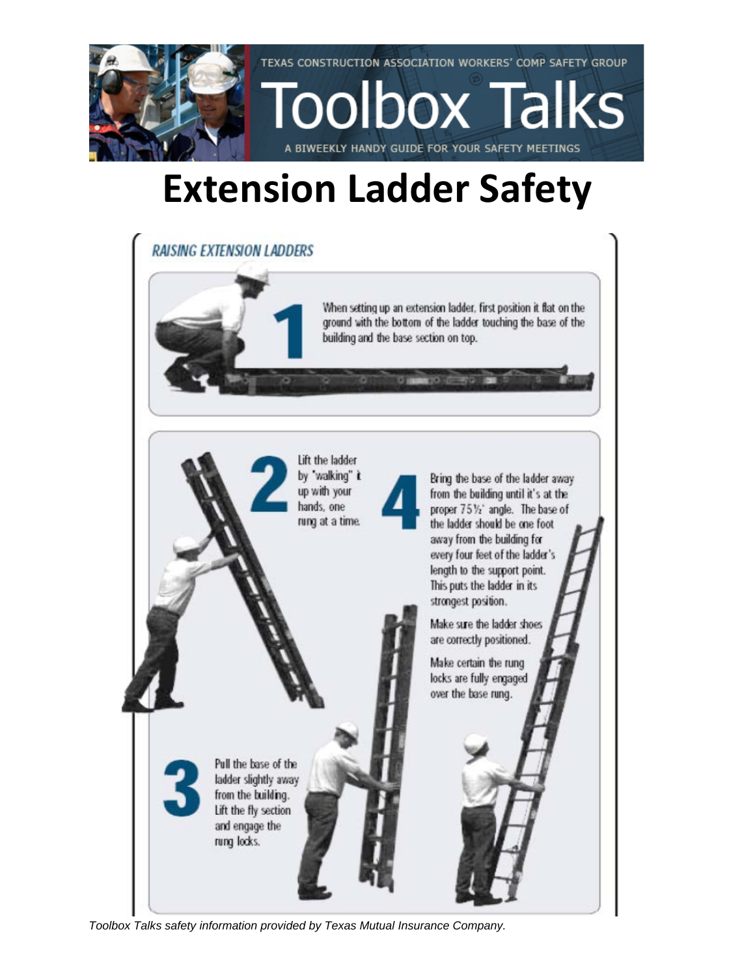

# **Extension Ladder Safety**



*Toolbox Talks safety information provided by Texas Mutual Insurance Company.*